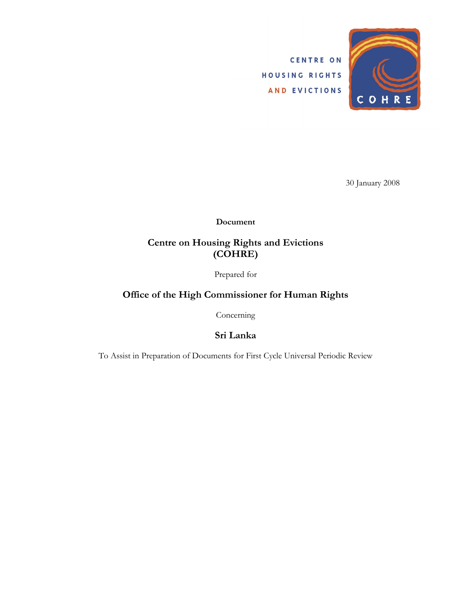CENTRE ON HOUSING RIGHTS AND EVICTIONS



30 January 2008

Document

#### Centre on Housing Rights and Evictions (COHRE)

Prepared for

#### Office of the High Commissioner for Human Rights

Concerning

Sri Lanka

To Assist in Preparation of Documents for First Cycle Universal Periodic Review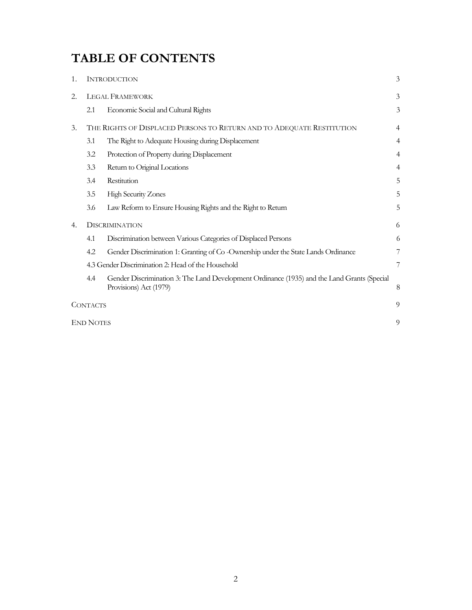# TABLE OF CONTENTS

| 1. |                                                                       | <b>INTRODUCTION</b>                                                                                                   | 3              |
|----|-----------------------------------------------------------------------|-----------------------------------------------------------------------------------------------------------------------|----------------|
| 2. | <b>LEGAL FRAMEWORK</b>                                                |                                                                                                                       | 3              |
|    | 2.1                                                                   | Economic Social and Cultural Rights                                                                                   | 3              |
| 3. | THE RIGHTS OF DISPLACED PERSONS TO RETURN AND TO ADEQUATE RESTITUTION |                                                                                                                       | $\overline{4}$ |
|    | 3.1                                                                   | The Right to Adequate Housing during Displacement                                                                     | $\overline{4}$ |
|    | 3.2                                                                   | Protection of Property during Displacement                                                                            | $\overline{4}$ |
|    | 3.3                                                                   | Return to Original Locations                                                                                          | $\overline{4}$ |
|    | 3.4                                                                   | Restitution                                                                                                           | 5              |
|    | 3.5                                                                   | <b>High Security Zones</b>                                                                                            | 5              |
|    | 3.6                                                                   | Law Reform to Ensure Housing Rights and the Right to Return                                                           | 5              |
| 4. | <b>DISCRIMINATION</b>                                                 |                                                                                                                       | 6              |
|    | 4.1                                                                   | Discrimination between Various Categories of Displaced Persons                                                        | 6              |
|    | 4.2                                                                   | Gender Discrimination 1: Granting of Co - Ownership under the State Lands Ordinance                                   | 7              |
|    | 4.3 Gender Discrimination 2: Head of the Household                    |                                                                                                                       | 7              |
|    | 4.4                                                                   | Gender Discrimination 3: The Land Development Ordinance (1935) and the Land Grants (Special<br>Provisions) Act (1979) | 8              |
|    | 9<br><b>CONTACTS</b>                                                  |                                                                                                                       |                |
|    | <b>END NOTES</b><br>9                                                 |                                                                                                                       |                |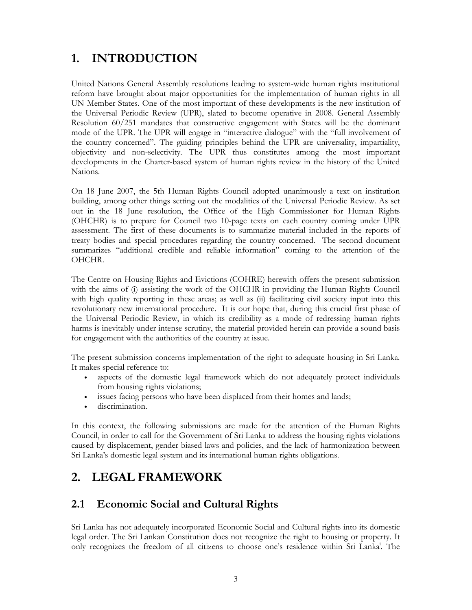# 1. INTRODUCTION

United Nations General Assembly resolutions leading to system-wide human rights institutional reform have brought about major opportunities for the implementation of human rights in all UN Member States. One of the most important of these developments is the new institution of the Universal Periodic Review (UPR), slated to become operative in 2008. General Assembly Resolution 60/251 mandates that constructive engagement with States will be the dominant mode of the UPR. The UPR will engage in "interactive dialogue" with the "full involvement of the country concerned". The guiding principles behind the UPR are universality, impartiality, objectivity and non-selectivity. The UPR thus constitutes among the most important developments in the Charter-based system of human rights review in the history of the United Nations.

On 18 June 2007, the 5th Human Rights Council adopted unanimously a text on institution building, among other things setting out the modalities of the Universal Periodic Review. As set out in the 18 June resolution, the Office of the High Commissioner for Human Rights (OHCHR) is to prepare for Council two 10-page texts on each country coming under UPR assessment. The first of these documents is to summarize material included in the reports of treaty bodies and special procedures regarding the country concerned. The second document summarizes "additional credible and reliable information" coming to the attention of the OHCHR.

The Centre on Housing Rights and Evictions (COHRE) herewith offers the present submission with the aims of (i) assisting the work of the OHCHR in providing the Human Rights Council with high quality reporting in these areas; as well as (ii) facilitating civil society input into this revolutionary new international procedure. It is our hope that, during this crucial first phase of the Universal Periodic Review, in which its credibility as a mode of redressing human rights harms is inevitably under intense scrutiny, the material provided herein can provide a sound basis for engagement with the authorities of the country at issue.

The present submission concerns implementation of the right to adequate housing in Sri Lanka. It makes special reference to:

- aspects of the domestic legal framework which do not adequately protect individuals from housing rights violations;
- issues facing persons who have been displaced from their homes and lands;
- discrimination.

In this context, the following submissions are made for the attention of the Human Rights Council, in order to call for the Government of Sri Lanka to address the housing rights violations caused by displacement, gender biased laws and policies, and the lack of harmonization between Sri Lanka's domestic legal system and its international human rights obligations.

# 2. LEGAL FRAMEWORK

#### 2.1 Economic Social and Cultural Rights

Sri Lanka has not adequately incorporated Economic Social and Cultural rights into its domestic legal order. The Sri Lankan Constitution does not recognize the right to housing or property. It only recognizes the freedom of all citizens to choose one's residence within Sri Lanka<sup>i</sup>. The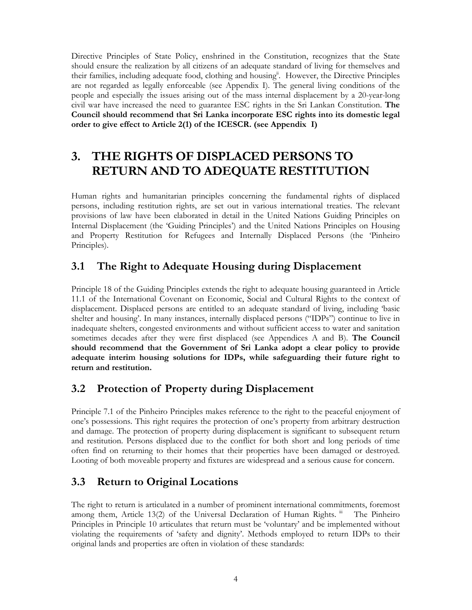Directive Principles of State Policy, enshrined in the Constitution, recognizes that the State should ensure the realization by all citizens of an adequate standard of living for themselves and their families, including adequate food, clothing and housingii. However, the Directive Principles are not regarded as legally enforceable (see Appendix I). The general living conditions of the people and especially the issues arising out of the mass internal displacement by a 20-year-long civil war have increased the need to guarantee ESC rights in the Sri Lankan Constitution. The Council should recommend that Sri Lanka incorporate ESC rights into its domestic legal order to give effect to Article 2(1) of the ICESCR. (see Appendix I)

# 3. THE RIGHTS OF DISPLACED PERSONS TO RETURN AND TO ADEQUATE RESTITUTION

Human rights and humanitarian principles concerning the fundamental rights of displaced persons, including restitution rights, are set out in various international treaties. The relevant provisions of law have been elaborated in detail in the United Nations Guiding Principles on Internal Displacement (the 'Guiding Principles') and the United Nations Principles on Housing and Property Restitution for Refugees and Internally Displaced Persons (the 'Pinheiro Principles).

## 3.1 The Right to Adequate Housing during Displacement

Principle 18 of the Guiding Principles extends the right to adequate housing guaranteed in Article 11.1 of the International Covenant on Economic, Social and Cultural Rights to the context of displacement. Displaced persons are entitled to an adequate standard of living, including 'basic shelter and housing'. In many instances, internally displaced persons ("IDPs") continue to live in inadequate shelters, congested environments and without sufficient access to water and sanitation sometimes decades after they were first displaced (see Appendices A and B). The Council should recommend that the Government of Sri Lanka adopt a clear policy to provide adequate interim housing solutions for IDPs, while safeguarding their future right to return and restitution.

## 3.2 Protection of Property during Displacement

Principle 7.1 of the Pinheiro Principles makes reference to the right to the peaceful enjoyment of one's possessions. This right requires the protection of one's property from arbitrary destruction and damage. The protection of property during displacement is significant to subsequent return and restitution. Persons displaced due to the conflict for both short and long periods of time often find on returning to their homes that their properties have been damaged or destroyed. Looting of both moveable property and fixtures are widespread and a serious cause for concern.

## 3.3 Return to Original Locations

The right to return is articulated in a number of prominent international commitments, foremost among them, Article  $13(2)$  of the Universal Declaration of Human Rights.  $\text{I}$  The Pinheiro Principles in Principle 10 articulates that return must be 'voluntary' and be implemented without violating the requirements of 'safety and dignity'. Methods employed to return IDPs to their original lands and properties are often in violation of these standards: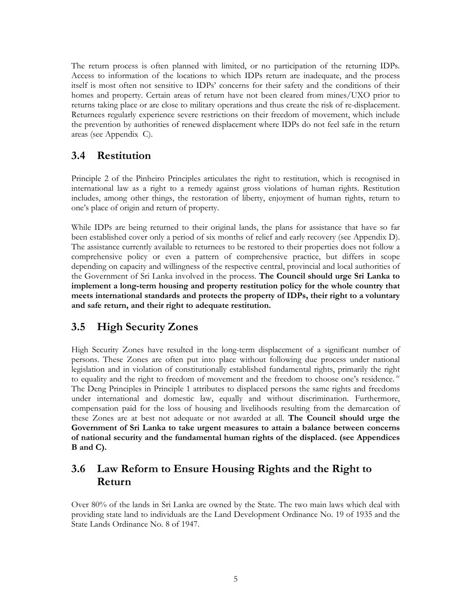The return process is often planned with limited, or no participation of the returning IDPs. Access to information of the locations to which IDPs return are inadequate, and the process itself is most often not sensitive to IDPs' concerns for their safety and the conditions of their homes and property. Certain areas of return have not been cleared from mines/UXO prior to returns taking place or are close to military operations and thus create the risk of re-displacement. Returnees regularly experience severe restrictions on their freedom of movement, which include the prevention by authorities of renewed displacement where IDPs do not feel safe in the return areas (see Appendix C).

#### 3.4 Restitution

Principle 2 of the Pinheiro Principles articulates the right to restitution, which is recognised in international law as a right to a remedy against gross violations of human rights. Restitution includes, among other things, the restoration of liberty, enjoyment of human rights, return to one's place of origin and return of property.

While IDPs are being returned to their original lands, the plans for assistance that have so far been established cover only a period of six months of relief and early recovery (see Appendix D). The assistance currently available to returnees to be restored to their properties does not follow a comprehensive policy or even a pattern of comprehensive practice, but differs in scope depending on capacity and willingness of the respective central, provincial and local authorities of the Government of Sri Lanka involved in the process. The Council should urge Sri Lanka to implement a long-term housing and property restitution policy for the whole country that meets international standards and protects the property of IDPs, their right to a voluntary and safe return, and their right to adequate restitution.

## 3.5 High Security Zones

High Security Zones have resulted in the long-term displacement of a significant number of persons. These Zones are often put into place without following due process under national legislation and in violation of constitutionally established fundamental rights, primarily the right to equality and the right to freedom of movement and the freedom to choose one's residence.<sup>1v</sup> The Deng Principles in Principle 1 attributes to displaced persons the same rights and freedoms under international and domestic law, equally and without discrimination. Furthermore, compensation paid for the loss of housing and livelihoods resulting from the demarcation of these Zones are at best not adequate or not awarded at all. The Council should urge the Government of Sri Lanka to take urgent measures to attain a balance between concerns of national security and the fundamental human rights of the displaced. (see Appendices B and C).

## 3.6 Law Reform to Ensure Housing Rights and the Right to Return

Over 80% of the lands in Sri Lanka are owned by the State. The two main laws which deal with providing state land to individuals are the Land Development Ordinance No. 19 of 1935 and the State Lands Ordinance No. 8 of 1947.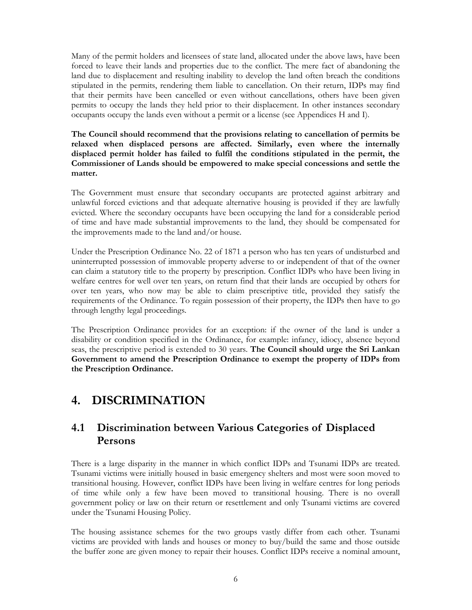Many of the permit holders and licensees of state land, allocated under the above laws, have been forced to leave their lands and properties due to the conflict. The mere fact of abandoning the land due to displacement and resulting inability to develop the land often breach the conditions stipulated in the permits, rendering them liable to cancellation. On their return, IDPs may find that their permits have been cancelled or even without cancellations, others have been given permits to occupy the lands they held prior to their displacement. In other instances secondary occupants occupy the lands even without a permit or a license (see Appendices H and I).

The Council should recommend that the provisions relating to cancellation of permits be relaxed when displaced persons are affected. Similarly, even where the internally displaced permit holder has failed to fulfil the conditions stipulated in the permit, the Commissioner of Lands should be empowered to make special concessions and settle the matter.

The Government must ensure that secondary occupants are protected against arbitrary and unlawful forced evictions and that adequate alternative housing is provided if they are lawfully evicted. Where the secondary occupants have been occupying the land for a considerable period of time and have made substantial improvements to the land, they should be compensated for the improvements made to the land and/or house.

Under the Prescription Ordinance No. 22 of 1871 a person who has ten years of undisturbed and uninterrupted possession of immovable property adverse to or independent of that of the owner can claim a statutory title to the property by prescription. Conflict IDPs who have been living in welfare centres for well over ten years, on return find that their lands are occupied by others for over ten years, who now may be able to claim prescriptive title, provided they satisfy the requirements of the Ordinance. To regain possession of their property, the IDPs then have to go through lengthy legal proceedings.

The Prescription Ordinance provides for an exception: if the owner of the land is under a disability or condition specified in the Ordinance, for example: infancy, idiocy, absence beyond seas, the prescriptive period is extended to 30 years. The Council should urge the Sri Lankan Government to amend the Prescription Ordinance to exempt the property of IDPs from the Prescription Ordinance.

# 4. DISCRIMINATION

### 4.1 Discrimination between Various Categories of Displaced Persons

There is a large disparity in the manner in which conflict IDPs and Tsunami IDPs are treated. Tsunami victims were initially housed in basic emergency shelters and most were soon moved to transitional housing. However, conflict IDPs have been living in welfare centres for long periods of time while only a few have been moved to transitional housing. There is no overall government policy or law on their return or resettlement and only Tsunami victims are covered under the Tsunami Housing Policy.

The housing assistance schemes for the two groups vastly differ from each other. Tsunami victims are provided with lands and houses or money to buy/build the same and those outside the buffer zone are given money to repair their houses. Conflict IDPs receive a nominal amount,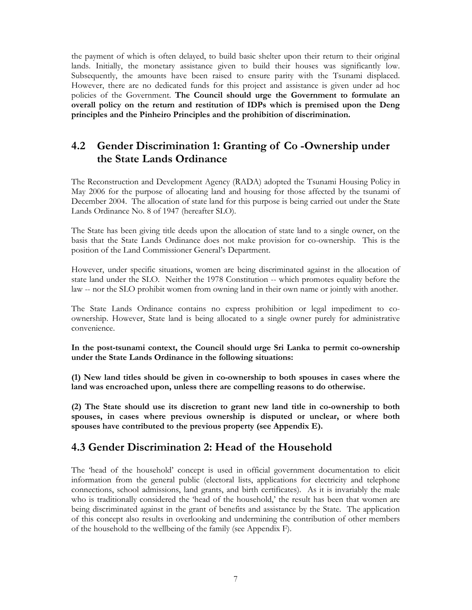the payment of which is often delayed, to build basic shelter upon their return to their original lands. Initially, the monetary assistance given to build their houses was significantly low. Subsequently, the amounts have been raised to ensure parity with the Tsunami displaced. However, there are no dedicated funds for this project and assistance is given under ad hoc policies of the Government. The Council should urge the Government to formulate an overall policy on the return and restitution of IDPs which is premised upon the Deng principles and the Pinheiro Principles and the prohibition of discrimination.

### 4.2 Gender Discrimination 1: Granting of Co -Ownership under the State Lands Ordinance

The Reconstruction and Development Agency (RADA) adopted the Tsunami Housing Policy in May 2006 for the purpose of allocating land and housing for those affected by the tsunami of December 2004. The allocation of state land for this purpose is being carried out under the State Lands Ordinance No. 8 of 1947 (hereafter SLO).

The State has been giving title deeds upon the allocation of state land to a single owner, on the basis that the State Lands Ordinance does not make provision for co-ownership. This is the position of the Land Commissioner General's Department.

However, under specific situations, women are being discriminated against in the allocation of state land under the SLO. Neither the 1978 Constitution -- which promotes equality before the law -- nor the SLO prohibit women from owning land in their own name or jointly with another.

The State Lands Ordinance contains no express prohibition or legal impediment to coownership. However, State land is being allocated to a single owner purely for administrative convenience.

In the post-tsunami context, the Council should urge Sri Lanka to permit co-ownership under the State Lands Ordinance in the following situations:

(1) New land titles should be given in co-ownership to both spouses in cases where the land was encroached upon, unless there are compelling reasons to do otherwise.

(2) The State should use its discretion to grant new land title in co-ownership to both spouses, in cases where previous ownership is disputed or unclear, or where both spouses have contributed to the previous property (see Appendix E).

#### 4.3 Gender Discrimination 2: Head of the Household

The 'head of the household' concept is used in official government documentation to elicit information from the general public (electoral lists, applications for electricity and telephone connections, school admissions, land grants, and birth certificates). As it is invariably the male who is traditionally considered the 'head of the household,' the result has been that women are being discriminated against in the grant of benefits and assistance by the State. The application of this concept also results in overlooking and undermining the contribution of other members of the household to the wellbeing of the family (see Appendix F).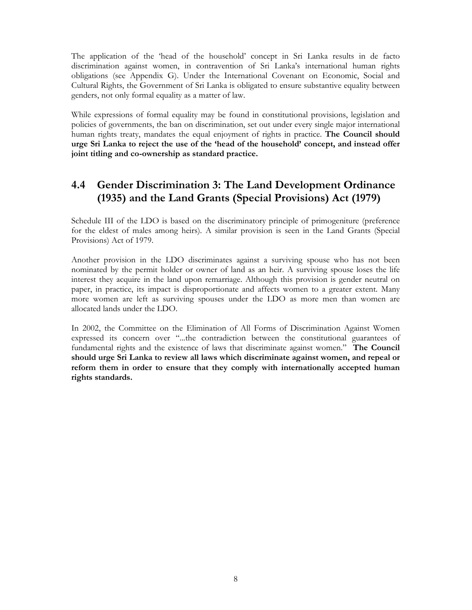The application of the 'head of the household' concept in Sri Lanka results in de facto discrimination against women, in contravention of Sri Lanka's international human rights obligations (see Appendix G). Under the International Covenant on Economic, Social and Cultural Rights, the Government of Sri Lanka is obligated to ensure substantive equality between genders, not only formal equality as a matter of law.

While expressions of formal equality may be found in constitutional provisions, legislation and policies of governments, the ban on discrimination, set out under every single major international human rights treaty, mandates the equal enjoyment of rights in practice. The Council should urge Sri Lanka to reject the use of the 'head of the household' concept, and instead offer joint titling and co-ownership as standard practice.

## 4.4 Gender Discrimination 3: The Land Development Ordinance (1935) and the Land Grants (Special Provisions) Act (1979)

Schedule III of the LDO is based on the discriminatory principle of primogeniture (preference for the eldest of males among heirs). A similar provision is seen in the Land Grants (Special Provisions) Act of 1979.

Another provision in the LDO discriminates against a surviving spouse who has not been nominated by the permit holder or owner of land as an heir. A surviving spouse loses the life interest they acquire in the land upon remarriage. Although this provision is gender neutral on paper, in practice, its impact is disproportionate and affects women to a greater extent. Many more women are left as surviving spouses under the LDO as more men than women are allocated lands under the LDO.

In 2002, the Committee on the Elimination of All Forms of Discrimination Against Women expressed its concern over "...the contradiction between the constitutional guarantees of fundamental rights and the existence of laws that discriminate against women." The Council should urge Sri Lanka to review all laws which discriminate against women, and repeal or reform them in order to ensure that they comply with internationally accepted human rights standards.